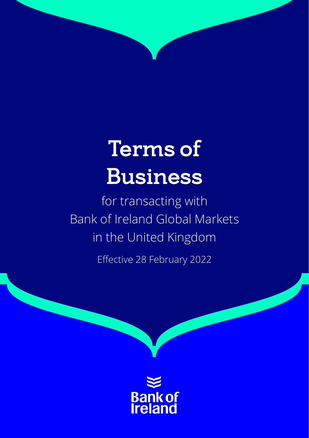# Terms of Business

for transacting with Bank of Ireland Global Markets in the United Kingdom

Effective 28 February 2022

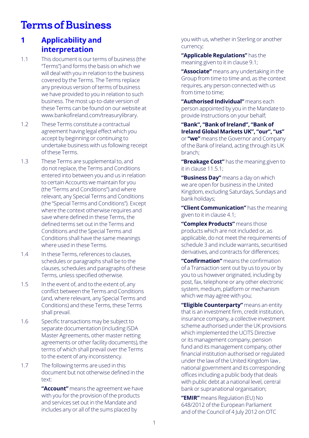# Terms of Business

# **1 Applicability and interpretation**

- 1.1 This document is our terms of business (the "Terms") and forms the basis on which we will deal with you in relation to the business covered by the Terms. The Terms replace any previous version of terms of business we have provided to you in relation to such business. The most up-to-date version of these Terms can be found on our website at www.bankofireland.com/treasurylibrary.
- 1.2 These Terms constitute a contractual agreement having legal effect which you accept by beginning or continuing to undertake business with us following receipt of these Terms.
- 1.3 These Terms are supplemental to, and do not replace, the Terms and Conditions entered into between you and us in relation to certain Accounts we maintain for you (the "Terms and Conditions") and where relevant, any Special Terms and Conditions (the "Special Terms and Conditions"). Except where the context otherwise requires and save where defined in these Terms, the defined terms set out in the Terms and Conditions and the Special Terms and Conditions shall have the same meanings where used in these Terms.
- 1.4 In these Terms, references to clauses, schedules or paragraphs shall be to the clauses, schedules and paragraphs of these Terms, unless specified otherwise.
- 1.5 In the event of, and to the extent of, any conflict between the Terms and Conditions (and, where relevant, any Special Terms and Conditions) and these Terms, these Terms shall prevail.
- 1.6 Specific transactions may be subject to separate documentation (including ISDA Master Agreements, other master netting agreements or other facility documents), the terms of which shall prevail over the Terms to the extent of any inconsistency.
- 1.7 The following terms are used in this document but not otherwise defined in the text:

**"Account"** means the agreement we have with you for the provision of the products and services set out in the Mandate and includes any or all of the sums placed by

you with us, whether in Sterling or another currency;

**"Applicable Regulations"** has the meaning given to it in clause 9.1;

**"Associate"** means any undertaking in the Group from time to time and, as the context requires, any person connected with us from time to time;

**"Authorised Individual"** means each person appointed by you in the Mandate to provide Instructions on your behalf;

**"Bank", "Bank of Ireland", "Bank of Ireland Global Markets UK", "our", "us"**  or **"we"** means the Governor and Company of the Bank of Ireland, acting through its UK branch;

**"Breakage Cost"** has the meaning given to it in clause 11.5.1;

**"Business Day"** means a day on which we are open for business in the United Kingdom, excluding Saturdays, Sundays and bank holidays;

**"Client Communication"** has the meaning given to it in clause 4.1;

**"Complex Products"** means those products which are not included or, as applicable, do not meet the requirements of schedule 3 and include warrants, securitised derivatives, and contracts for differences;

**"Confirmation"** means the confirmation of a Transaction sent out by us to you or by you to us however originated, including by post, fax, telephone or any other electronic system, medium, platform or mechanism which we may agree with you;

**"Eligible Counterparty"** means an entity that is an investment firm, credit institution, insurance company, a collective investment scheme authorised under the UK provisions which implemented the UCITS Directive or its management company, pension fund and its management company, other financial institution authorised or regulated under the law of the United Kingdom law , national government and its corresponding offices including a public body that deals with public debt at a national level, central bank or supranational organisation;

**"EMIR"** means Regulation (EU) No 648/2012 of the European Parliament and of the Council of 4 July 2012 on OTC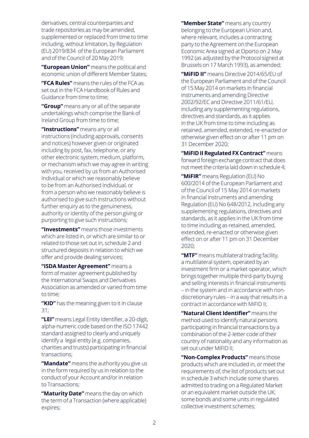derivatives, central counterparties and trade repositories as may be amended, supplemented or replaced from time to time including, without limitation, by Regulation (EU) 2019/834 of the European Parliament and of the Council of 20 May 2019;

**"European Union"** means the political and economic union of different Member States;

**"FCA Rules"** means the rules of the FCA as set out in the FCA Handbook of Rules and Guidance from time to time;

**"Group"** means any or all of the separate undertakings which comprise the Bank of Ireland Group from time to time;

**"Instructions"** means any or all instructions (including approvals, consents and notices) however given or originated including by post, fax, telephone, or any other electronic system, medium, platform, or mechanism which we may agree in writing with you, received by us from an Authorised Individual or which we reasonably believe to be from an Authorised Individual, or from a person who we reasonably believe is authorised to give such instructions without further enquiry as to the genuineness, authority or identity of the person giving or purporting to give such instructions;

**"Investments"** means those investments which are listed in, or which are similar to or related to those set out in, schedule 2 and structured deposits in relation to which we offer and provide dealing services;

**"ISDA Master Agreement"** means a form of master agreement published by the International Swaps and Derivatives Association as amended or varied from time to time;

**"KID"** has the meaning given to it in clause 31;

**"LEI"** means Legal Entity Identifier, a 20-digit, alpha-numeric code based on the ISO 17442 standard assigned to clearly and uniquely identify a legal entity (e.g. companies, charities and trusts) participating in financial transactions;

**"Mandate"** means the authority you give us in the form required by us in relation to the conduct of your Account and/or in relation to Transactions;

**"Maturity Date"** means the day on which the term of a Transaction (where applicable) expires;

**"Member State"** means any country belonging to the European Union and, where relevant, includes a contracting party to the Agreement on the European Economic Area signed at Oporto on 2 May 1992 (as adjusted by the Protocol signed at Brussels on 17 March 1993), as amended;

**"MiFID II"** means Directive 2014/65/EU of the European Parliament and of the Council of 15 May 2014 on markets in financial instruments and amending Directive 2002/92/EC and Directive 2011/61/EU, including any supplementing regulations, directives and standards, as it applies in the UK from time to time including as retained, amended, extended, re-enacted or otherwise given effect on or after 11 pm on 31 December 2020;

**"MiFID II Regulated FX Contract"** means forward foreign exchange contract that does not meet the criteria laid down in schedule 4;

**"MiFIR"** means Regulation (EU) No 600/2014 of the European Parliament and of the Council of 15 May 2014 on markets in financial instruments and amending Regulation (EU) No 648/2012, including any supplementing regulations, directives and standards, as it applies in the UK from time to time including as retained, amended, extended, re-enacted or otherwise given effect on or after 11 pm on 31 December  $2020<sup>1</sup>$ 

**"MTF"** means multilateral trading facility, a multilateral system, operated by an investment firm or a market operator, which brings together multiple third-party buying and selling interests in financial instruments – in the system and in accordance with nondiscretionary rules – in a way that results in a contract in accordance with MiFID II;

**"Natural Client Identifier"** means the method used to identify natural persons participating in financial transactions by a combination of the 2-letter code of their country of nationality and any information as set out under MiFID II;

**"Non-Complex Products"** means those products which are included in, or meet the requirements of, the list of products set out in schedule 3 which include some shares admitted to trading on a Regulated Market or an equivalent market outside the UK, some bonds and some units in regulated collective investment schemes;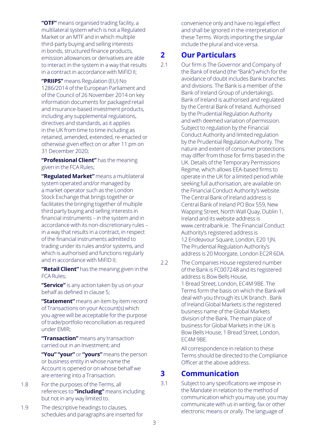**"OTF"** means organised trading facility, a multilateral system which is not a Regulated Market or an MTF and in which multiple third-party buying and selling interests in bonds, structured finance products, emission allowances or derivatives are able to interact in the system in a way that results in a contract in accordance with MiFID II;

**"PRIIPS"** means Regulation (EU) No 1286/2014 of the European Parliament and of the Council of 26 November 2014 on key information documents for packaged retail and insurance-based investment products, including any supplemental regulations, directives and standards, as it applies in the UK from time to time including as retained, amended, extended, re-enacted or otherwise given effect on or after 11 pm on 31 December 2020;

**"Professional Client"** has the meaning given in the FCA Rules;

**"Regulated Market"** means a multilateral system operated and/or managed by a market operator such as the London Stock Exchange that brings together or facilitates the bringing together of multiple third party buying and selling interests in financial instruments – in the system and in accordance with its non-discretionary rules – in a way that results in a contract, in respect of the financial instruments admitted to trading under its rules and/or systems, and which is authorised and functions regularly and in accordance with MiFID II;

**"Retail Client"** has the meaning given in the FCA Rules;

**"Service"** is any action taken by us on your behalf as defined in clause 5;

**"Statement"** means an item by item record of Transactions on your Account(s) which you agree will be acceptable for the purpose of trade/portfolio reconciliation as required under EMIR;

**"Transaction"** means any transaction carried out in an Investment; and

**"You" "your"** or **"yours"** means the person or business entity in whose name the Account is opened or on whose behalf we are entering into a Transaction.

- 1.8 For the purposes of the Terms, all references to **"including"** means including but not in any way limited to.
- 1.9 The descriptive headings to clauses, schedules and paragraphs are inserted for

convenience only and have no legal effect and shall be ignored in the interpretation of these Terms. Words importing the singular include the plural and vice versa.

## **2 Our Particulars**

- 2.1 Our firm is The Governor and Company of the Bank of Ireland (the "Bank") which for the avoidance of doubt includes Bank branches and divisions. The Bank is a member of the Bank of Ireland Group of undertakings. Bank of Ireland is authorised and regulated by the Central Bank of Ireland. Authorised by the Prudential Regulation Authority and with deemed variation of permission. Subject to regulation by the Financial Conduct Authority and limited regulation by the Prudential Regulation Authority. The nature and extent of consumer protections may differ from those for firms based in the UK. Details of the Temporary Permissions Regime, which allows EEA-based firms to operate in the UK for a limited period while seeking full authorisation, are available on the Financial Conduct Authority's website. The Central Bank of Ireland address is Central Bank of Ireland PO Box 559, New Wapping Street, North Wall Quay, Dublin 1, Ireland and its website address is www.centralbank.ie. The Financial Conduct Authority's registered address is 12 Endeavour Square, London, E20 1JN. The Prudential Regulation Authority's address is 20 Moorgate, London EC2R 6DA.
- 2.2 The Companies House registered number of the Bank is FC007248 and its registered address is Bow Bells House, 1 Bread Street, London, EC4M 9BE. The Terms form the basis on which the Bank will deal with you through its UK branch . Bank of Ireland Global Markets is the registered business name of the Global Markets division of the Bank. The main place of business for Global Markets in the UK is Bow Bells House, 1 Bread Street, London, EC4M 9BE.

All correspondence in relation to these Terms should be directed to the Compliance Officer at the above address.

## **3 Communication**

3.1 Subject to any specifications we impose in the Mandate in relation to the method of communication which you may use, you may communicate with us in writing, fax or other electronic means or orally. The language of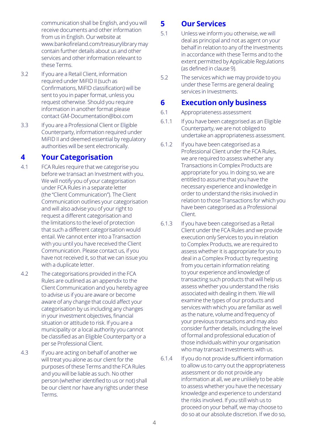communication shall be English, and you will receive documents and other information from us in English. Our website at www.bankofireland.com/treasurylibrary may contain further details about us and other services and other information relevant to these Terms.

- 3.2 If you are a Retail Client, information required under MiFID II (such as Confirmations, MiFID classification) will be sent to you in paper format, unless you request otherwise. Should you require information in another format please contact [GM-Documentation@boi.com](mailto:GM-Documentation%40boi.com?subject=)
- 3.3 If you are a Professional Client or Eligible Counterparty, information required under MiFID II and deemed essential by regulatory authorities will be sent electronically.

## **4 Your Categorisation**

- 4.1 FCA Rules require that we categorise you before we transact an Investment with you. We will notify you of your categorisation under FCA Rules in a separate letter (the "Client Communication"). The Client Communication outlines your categorisation and will also advise you of your right to request a different categorisation and the limitations to the level of protection that such a different categorisation would entail. We cannot enter into a Transaction with you until you have received the Client Communication. Please contact us, if you have not received it, so that we can issue you with a duplicate letter.
- 4.2 The categorisations provided in the FCA Rules are outlined as an appendix to the Client Communication and you hereby agree to advise us if you are aware or become aware of any change that could affect your categorisation by us including any changes in your investment objectives, financial situation or attitude to risk. If you are a municipality or a local authority you cannot be classified as an Eligible Counterparty or a per se Professional Client.
- 4.3 If you are acting on behalf of another we will treat you alone as our client for the purposes of these Terms and the FCA Rules and you will be liable as such. No other person (whether identified to us or not) shall be our client nor have any rights under these Terms.

# **5 Our Services**

- 5.1 Unless we inform you otherwise, we will deal as principal and not as agent on your behalf in relation to any of the Investments in accordance with these Terms and to the extent permitted by Applicable Regulations (as defined in clause 9).
- 5.2 The services which we may provide to you under these Terms are general dealing services in Investments.

## **6 Execution only business**

- 6.1 Appropriateness assessment
- 6.1.1 If you have been categorised as an Eligible Counterparty, we are not obliged to undertake an appropriateness assessment.
- 6.1.2 If you have been categorised as a Professional Client under the FCA Rules, we are required to assess whether any Transactions in Complex Products are appropriate for you. In doing so, we are entitled to assume that you have the necessary experience and knowledge in order to understand the risks involved in relation to those Transactions for which you have been categorised as a Professional Client.
- 6.1.3 If you have been categorised as a Retail Client under the FCA Rules and we provide execution only Services to you in relation to Complex Products, we are required to assess whether it is appropriate for you to deal in a Complex Product by requesting from you certain information relating to your experience and knowledge of transacting such products that will help us assess whether you understand the risks associated with dealing in them. We will examine the types of our products and services with which you are familiar as well as the nature, volume and frequency of your previous transactions and may also consider further details, including the level of formal and professional education of those individuals within your organisation who may transact Investments with us.
- 6.1.4 If you do not provide sufficient information to allow us to carry out the appropriateness assessment or do not provide any information at all, we are unlikely to be able to assess whether you have the necessary knowledge and experience to understand the risks involved. If you still wish us to proceed on your behalf, we may choose to do so at our absolute discretion. If we do so,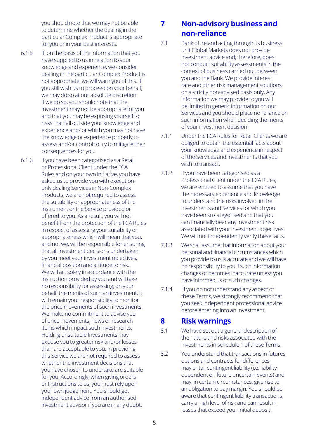you should note that we may not be able to determine whether the dealing in the particular Complex Product is appropriate for you or in your best interests.

- 6.1.5 If, on the basis of the information that you have supplied to us in relation to your knowledge and experience, we consider dealing in the particular Complex Product is not appropriate, we will warn you of this. If you still wish us to proceed on your behalf, we may do so at our absolute discretion. If we do so, you should note that the Investment may not be appropriate for you and that you may be exposing yourself to risks that fall outside your knowledge and experience and/ or which you may not have the knowledge or experience properly to assess and/or control to try to mitigate their consequences for you.
- 6.1.6 If you have been categorised as a Retail or Professional Client under the FCA Rules and on your own initiative, you have asked us to provide you with executiononly dealing Services in Non-Complex Products, we are not required to assess the suitability or appropriateness of the instrument or the Service provided or offered to you. As a result, you will not benefit from the protection of the FCA Rules in respect of assessing your suitability or appropriateness which will mean that you, and not we, will be responsible for ensuring that all investment decisions undertaken by you meet your investment objectives, financial position and attitude to risk. We will act solely in accordance with the instruction provided by you and will take no responsibility for assessing, on your behalf, the merits of such an investment. It will remain your responsibility to monitor the price movements of such investments. We make no commitment to advise you of price movements, news or research items which impact such Investments. Holding unsuitable Investments may expose you to greater risk and/or losses than are acceptable to you. In providing this Service we are not required to assess whether the investment decisions that you have chosen to undertake are suitable for you. Accordingly, when giving orders or Instructions to us, you must rely upon your own judgement. You should get independent advice from an authorised investment advisor if you are in any doubt.

## **7 Non-advisory business and non-reliance**

- 7.1 Bank of Ireland acting through its business unit Global Markets does not provide Investment advice and, therefore, does not conduct suitability assessments in the context of business carried out between you and the Bank. We provide interest rate and other risk management solutions on a strictly non-advised basis only. Any information we may provide to you will be limited to generic information on our Services and you should place no reliance on such information when deciding the merits of your investment decision.
- 7.1.1 Under the FCA Rules for Retail Clients we are obliged to obtain the essential facts about your knowledge and experience in respect of the Services and Investments that you wish to transact.
- 7.1.2 If you have been categorised as a Professional Client under the FCA Rules, we are entitled to assume that you have the necessary experience and knowledge to understand the risks involved in the Investments and Services for which you have been so categorised and that you can financially bear any investment risk associated with your investment objectives. We will not independently verify these facts.
- 7.1.3 We shall assume that information about your personal and financial circumstances which you provide to us is accurate and we will have no responsibility to you if such information changes or becomes inaccurate unless you have informed us of such changes.
- 7.1.4 If you do not understand any aspect of these Terms, we strongly recommend that you seek independent professional advice before entering into an Investment.

## **8 Risk warnings**

- 8.1 We have set out a general description of the nature and risks associated with the Investments in schedule 1 of these Terms.
- 8.2 You understand that transactions in futures, options and contracts for differences may entail contingent liability (i.e. liability dependent on future uncertain events) and may, in certain circumstances, give rise to an obligation to pay margin. You should be aware that contingent liability transactions carry a high level of risk and can result in losses that exceed your initial deposit.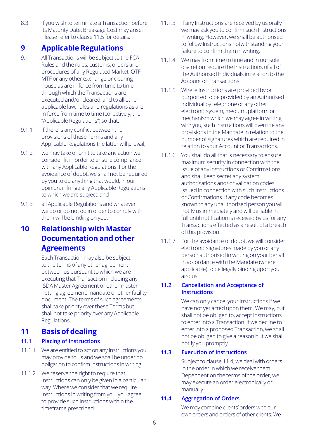8.3 If you wish to terminate a Transaction before its Maturity Date, Breakage Cost may arise. Please refer to clause 11.5 for details.

## **9 Applicable Regulations**

- 9.1 All Transactions will be subject to the FCA Rules and the rules, customs, orders and procedures of any Regulated Market, OTF, MTF or any other exchange or clearing house as are in force from time to time through which the Transactions are executed and/or cleared, and to all other applicable law, rules and regulations as are in force from time to time (collectively, the "Applicable Regulations") so that:
- 9.1.1 if there is any conflict between the provisions of these Terms and any Applicable Regulations the latter will prevail;
- 9.1.2 we may take or omit to take any action we consider fit in order to ensure compliance with any Applicable Regulations. For the avoidance of doubt, we shall not be required by you to do anything that would, in our opinion, infringe any Applicable Regulations to which we are subject; and
- 9.1.3 all Applicable Regulations and whatever we do or do not do in order to comply with them will be binding on you.

# **10 Relationship with Master Documentation and other Agreements**

Each Transaction may also be subject to the terms of any other agreement between us pursuant to which we are executing that Transaction including any ISDA Master Agreement or other master netting agreement, mandate or other facility document. The terms of such agreements shall take priority over these Terms but shall not take priority over any Applicable Regulations.

## **11 Basis of dealing**

## **11.1 Placing of Instructions**

- 11.1.1 We are entitled to act on any Instructions you may provide to us and we shall be under no obligation to confirm Instructions in writing.
- 11.1.2 We reserve the right to require that Instructions can only be given in a particular way. Where we consider that we require Instructions in writing from you, you agree to provide such Instructions within the timeframe prescribed.
- 11.1.3 If any Instructions are received by us orally we may ask you to confirm such Instructions in writing. However, we shall be authorised to follow Instructions notwithstanding your failure to confirm them in writing.
- 11.1.4 We may from time to time and in our sole discretion require the Instructions of all of the Authorised Individuals in relation to the Account or Transactions.
- 11.1.5 Where Instructions are provided by or purported to be provided by an Authorised Individual by telephone or any other electronic system, medium, platform or mechanism which we may agree in writing with you, such Instructions will override any provisions in the Mandate in relation to the number of signatures which are required in relation to your Account or Transactions.
- 11.1.6 You shall do all that is necessary to ensure maximum security in connection with the issue of any Instructions or Confirmations and shall keep secret any system authorisations and/ or validation codes issued in connection with such Instructions or Confirmations. If any code becomes known to any unauthorised person you will notify us immediately and will be liable in full until notification is received by us for any Transactions effected as a result of a breach of this provision.
- 11.1.7 For the avoidance of doubt, we will consider electronic signatures made by you or any person authorised in writing on your behalf in accordance with the Mandate (where applicable) to be legally binding upon you and us.

#### **11.2 Cancellation and Acceptance of Instructions**

We can only cancel your Instructions if we have not yet acted upon them. We may, but shall not be obliged to, accept Instructions to enter into a Transaction. If we decline to enter into a proposed Transaction, we shall not be obliged to give a reason but we shall notify you promptly.

## **11.3 Execution of Instructions**

Subject to clause 11.4, we deal with orders in the order in which we receive them. Dependent on the terms of the order, we may execute an order electronically or manually.

## **11.4 Aggregation of Orders**

We may combine clients' orders with our own orders and orders of other clients. We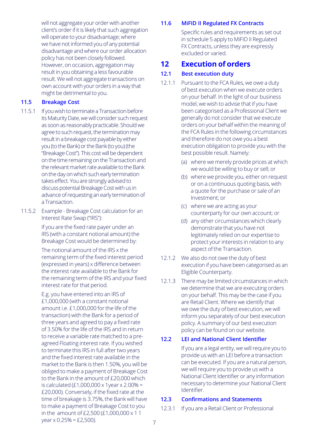will not aggregate your order with another client's order if it is likely that such aggregation will operate to your disadvantage; where we have not informed you of any potential disadvantage and where our order allocation policy has not been closely followed. However, on occasion, aggregation may result in you obtaining a less favourable result. We will not aggregate transactions on own account with your orders in a way that might be detrimental to you.

#### **11.5 Breakage Cost**

- 11.5.1 If you wish to terminate a Transaction before its Maturity Date, we will consider such request as soon as reasonably practicable. Should we agree to such request, the termination may result in a breakage cost payable by either you (to the Bank) or the Bank (to you) (the "Breakage Cost"). This cost will be dependent on the time remaining on the Transaction and the relevant market rate available to the Bank on the day on which such early termination takes effect. You are strongly advised to discuss potential Breakage Cost with us in advance of requesting an early termination of a Transaction.
- 11.5.2 Example Breakage Cost calculation for an Interest Rate Swap ("IRS"):

If you are the fixed rate payer under an IRS (with a constant notional amount) the Breakage Cost would be determined by:

The notional amount of the IRS x the remaining term of the fixed interest period (expressed in years) x difference between the interest rate available to the Bank for the remaining term of the IRS and your fixed interest rate for that period.

E.g. you have entered into an IRS of £1,000,000 (with a constant notional amount i.e. £1,000,000 for the life of the transaction) with the Bank for a period of three years and agreed to pay a fixed rate of 3.50% for the life of the IRS and in return to receive a variable rate matched to a preagreed Floating interest rate. If you wished to terminate this IRS in full after two years and the fixed interest rate available in the market to the Bank is then 1.50%, you will be obliged to make a payment of Breakage Cost to the Bank in the amount of £20,000 which is calculated (£1,000,000 x 1year x 2.00% = £20,000). Conversely, if the fixed rate at the time of breakage is 3.75%, the Bank will have to make a payment of Breakage Cost to you in the amount of £2,500 (£1,000,000 x 1 1  $year × 0.25% = £2.500$ ).

#### **11.6 MiFID II Regulated FX Contracts**

Specific rules and requirements as set out in schedule 5 apply to MiFID II Regulated FX Contracts, unless they are expressly excluded or varied.

## **12 Execution of orders**

#### **12.1 Best execution duty**

- 12.1.1 Pursuant to the FCA Rules, we owe a duty of best execution when we execute orders on your behalf. In the light of our business model, we wish to advise that if you have been categorised as a Professional Client we generally do not consider that we execute orders on your behalf within the meaning of the FCA Rules in the following circumstances and therefore do not owe you a best execution obligation to provide you with the best possible result. Namely:
	- (a) where we merely provide prices at which we would be willing to buy or sell; or
	- (b) where we provide you, either on request or on a continuous quoting basis, with a quote for the purchase or sale of an Investment; or
	- (c) where we are acting as your counterparty for our own account; or
	- (d) any other circumstances which clearly demonstrate that you have not legitimately relied on our expertise to protect your interests in relation to any aspect of the Transaction.
- 12.1.2 We also do not owe the duty of best execution if you have been categorised as an Eligible Counterparty.
- 12.1.3 There may be limited circumstances in which we determine that we are executing orders on your behalf. This may be the case if you are Retail Client. Where we identify that we owe the duty of best execution, we will inform you separately of our best execution policy. A summary of our best execution policy can be found on our website.

#### **12.2 LEI and National Client Identifier**

If you are a legal entity, we will require you to provide us with an LEI before a transaction can be executed. If you are a natural person, we will require you to provide us with a National Client Identifier or any information necessary to determine your National Client Identifier.

#### **12.3 Confirmations and Statements**

12.3.1 If you are a Retail Client or Professional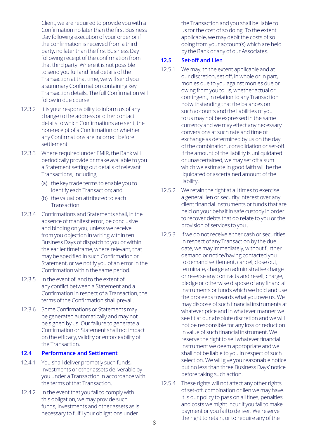Client, we are required to provide you with a Confirmation no later than the first Business Day following execution of your order or if the confirmation is received from a third party, no later than the first Business Day following receipt of the confirmation from that third party. Where it is not possible to send you full and final details of the Transaction at that time, we will send you a summary Confirmation containing key Transaction details. The full Confirmation will follow in due course.

- 12.3.2 It is your responsibility to inform us of any change to the address or other contact details to which Confirmations are sent, the non-receipt of a Confirmation or whether any Confirmations are incorrect before settlement.
- 12.3.3 Where required under EMIR, the Bank will periodically provide or make available to you a Statement setting out details of relevant Transactions, including;
	- (a) the key trade terms to enable you to identify each Transaction; and
	- (b) the valuation attributed to each Transaction.
- 12.3.4 Confirmations and Statements shall, in the absence of manifest error, be conclusive and binding on you, unless we receive from you objection in writing within ten Business Days of dispatch to you or within the earlier timeframe, where relevant, that may be specified in such Confirmation or Statement, or we notify you of an error in the Confirmation within the same period.
- 12.3.5 In the event of, and to the extent of, any conflict between a Statement and a Confirmation in respect of a Transaction, the terms of the Confirmation shall prevail.
- 12.3.6 Some Confirmations or Statements may be generated automatically and may not be signed by us. Our failure to generate a Confirmation or Statement shall not impact on the efficacy, validity or enforceability of the Transaction.

#### **12.4 Performance and Settlement**

- 12.4.1 You shall deliver promptly such funds, investments or other assets deliverable by you under a Transaction in accordance with the terms of that Transaction.
- 12.4.2 In the event that you fail to comply with this obligation, we may provide such funds, investments and other assets as is necessary to fulfil your obligations under

the Transaction and you shall be liable to us for the cost of so doing. To the extent applicable, we may debit the costs of so doing from your account(s) which are held by the Bank or any of our Associates.

#### **12.5 Set-off and Lien**

- 12.5.1 We may, to the extent applicable and at our discretion, set off, in whole or in part, monies due to you against monies due or owing from you to us, whether actual or contingent, in relation to any Transaction notwithstanding that the balances on such accounts and the liabilities of you to us may not be expressed in the same currency and we may effect any necessary conversions at such rate and time of exchange as determined by us on the day of the combination, consolidation or set-off. If the amount of the liability is unliquidated or unascertained, we may set off a sum which we estimate in good faith will be the liquidated or ascertained amount of the liability.
- 12.5.2 We retain the right at all times to exercise a general lien or security interest over any client financial instruments or funds that are held on your behalf in safe custody in order to recover debts that do relate to you or the provision of services to you .
- 12.5.3 If we do not receive either cash or securities in respect of any Transaction by the due date, we may immediately, without further demand or notice/having contacted you to demand settlement, cancel, close out, terminate, charge an administrative charge or reverse any contracts and resell, charge, pledge or otherwise dispose of any financial instruments or funds which we hold and use the proceeds towards what you owe us. We may dispose of such financial instruments at whatever price and in whatever manner we see fit at our absolute discretion and we will not be responsible for any loss or reduction in value of such financial instrument. We reserve the right to sell whatever financial instrument we deem appropriate and we shall not be liable to you in respect of such selection. We will give you reasonable notice but no less than three Business Days' notice before taking such action.
- 12.5.4 These rights will not affect any other rights of set-off, combination or lien we may have. It is our policy to pass on all fines, penalties and costs we might incur if you fail to make payment or you fail to deliver. We reserve the right to retain, or to require any of the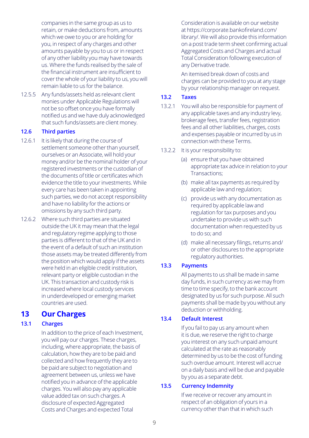companies in the same group as us to retain, or make deductions from, amounts which we owe to you or are holding for you, in respect of any charges and other amounts payable by you to us or in respect of any other liability you may have towards us. Where the funds realised by the sale of the financial instrument are insufficient to cover the whole of your liability to us, you will remain liable to us for the balance.

12.5.5 Any funds/assets held as relevant client monies under Applicable Regulations will not be so offset once you have formally notified us and we have duly acknowledged that such funds/assets are client money.

#### **12.6 Third parties**

- 12.6.1 It is likely that during the course of settlement someone other than yourself, ourselves or an Associate, will hold your money and/or be the nominal holder of your registered investments or the custodian of the documents of title or certificates which evidence the title to your investments. While every care has been taken in appointing such parties, we do not accept responsibility and have no liability for the actions or omissions by any such third party.
- 12.6.2 Where such third parties are situated outside the UK it may mean that the legal and regulatory regime applying to those parties is different to that of the UK and in the event of a default of such an institution those assets may be treated differently from the position which would apply if the assets were held in an eligible credit institution, relevant party or eligible custodian in the UK. This transaction and custody risk is increased where local custody services in underdeveloped or emerging market countries are used.

## **13 Our Charges**

#### **13.1 Charges**

In addition to the price of each Investment, you will pay our charges. These charges, including, where appropriate, the basis of calculation, how they are to be paid and collected and how frequently they are to be paid are subject to negotiation and agreement between us, unless we have notified you in advance of the applicable charges. You will also pay any applicable value added tax on such charges. A disclosure of expected Aggregated Costs and Charges and expected Total

Consideration is available on our website at https://corporate.bankofireland.com/ library/. We will also provide this information on a post trade term sheet confirming actual Aggregated Costs and Charges and actual Total Consideration following execution of any Derivative trade.

An itemised break down of costs and charges can be provided to you at any stage by your relationship manager on request.

#### **13.2 Taxes**

- 13.2.1 You will also be responsible for payment of any applicable taxes and any industry levy, brokerage fees, transfer fees, registration fees and all other liabilities, charges, costs and expenses payable or incurred by us in connection with these Terms.
- 13.2.2 It is your responsibility to:
	- (a) ensure that you have obtained appropriate tax advice in relation to your Transactions;
	- (b) make all tax payments as required by applicable law and regulation;
	- (c) provide us with any documentation as required by applicable law and regulation for tax purposes and you undertake to provide us with such documentation when requested by us to do so; and
	- (d) make all necessary filings, returns and/ or other disclosures to the appropriate regulatory authorities.

#### **13.3 Payments**

All payments to us shall be made in same day funds, in such currency as we may from time to time specify, to the bank account designated by us for such purpose. All such payments shall be made by you without any deduction or withholding.

#### **13.4 Default Interest**

If you fail to pay us any amount when it is due, we reserve the right to charge you interest on any such unpaid amount calculated at the rate as reasonably determined by us to be the cost of funding such overdue amount. Interest will accrue on a daily basis and will be due and payable by you as a separate debt.

#### **13.5 Currency Indemnity**

If we receive or recover any amount in respect of an obligation of yours in a currency other than that in which such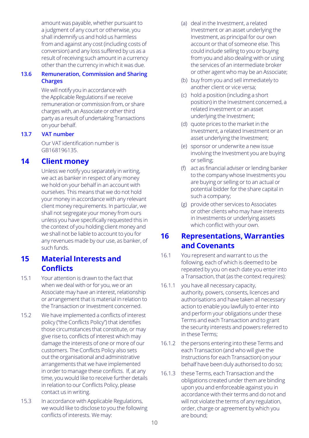amount was payable, whether pursuant to a judgment of any court or otherwise, you shall indemnify us and hold us harmless from and against any cost (including costs of conversion) and any loss suffered by us as a result of receiving such amount in a currency other than the currency in which it was due.

#### **13.6 Remuneration, Commission and Sharing Charges**

We will notify you in accordance with the Applicable Regulations if we receive remuneration or commission from, or share charges with, an Associate or other third party as a result of undertaking Transactions on your behalf.

#### **13.7 VAT number**

Our VAT identification number is GB168196135.

## **14 Client money**

Unless we notify you separately in writing, we act as banker in respect of any money we hold on your behalf in an account with ourselves. This means that we do not hold your money in accordance with any relevant client money requirements. In particular, we shall not segregate your money from ours unless you have specifically requested this in the context of you holding client money and we shall not be liable to account to you for any revenues made by our use, as banker, of such funds.

## **15 Material Interests and Conflicts**

- 15.1 Your attention is drawn to the fact that when we deal with or for you, we or an Associate may have an interest, relationship or arrangement that is material in relation to the Transaction or Investment concerned.
- 15.2 We have implemented a conflicts of interest policy ("the Conflicts Policy") that identifies those circumstances that constitute, or may give rise to, conflicts of interest which may damage the interests of one or more of our customers. The Conflicts Policy also sets out the organisational and administrative arrangements that we have implemented in order to manage these conflicts. If, at any time, you would like to receive further details in relation to our Conflicts Policy, please contact us in writing.
- 15.3 In accordance with Applicable Regulations, we would like to disclose to you the following conflicts of interests. We may:
- (a) deal in the Investment, a related Investment or an asset underlying the Investment, as principal for our own account or that of someone else. This could include selling to you or buying from you and also dealing with or using the services of an intermediate broker or other agent who may be an Associate;
- (b) buy from you and sell immediately to another client or vice versa;
- (c) hold a position (including a short position) in the Investment concerned, a related investment or an asset underlying the Investment;
- (d) quote prices to the market in the Investment, a related Investment or an asset underlying the Investment;
- (e) sponsor or underwrite a new issue involving the Investment you are buying or selling;
- (f) act as financial adviser or lending banker to the company whose Investments you are buying or selling or to an actual or potential bidder for the share capital in such a company;
- (g) provide other services to Associates or other clients who may have interests in Investments or underlying assets which conflict with your own.

## **16 Representations, Warranties and Covenants**

- 16.1 You represent and warrant to us the following, each of which is deemed to be repeated by you on each date you enter into a Transaction, that (as the context requires):
- 16.1.1 you have all necessary capacity, authority, powers, consents, licences and authorisations and have taken all necessary action to enable you lawfully to enter into and perform your obligations under these Terms and each Transaction and to grant the security interests and powers referred to in these Terms;
- 16.1.2 the persons entering into these Terms and each Transaction (and who will give the Instructions for each Transaction) on your behalf have been duly authorised to do so;
- 16.1.3 these Terms, each Transaction and the obligations created under them are binding upon you and enforceable against you in accordance with their terms and do not and will not violate the terms of any regulation, order, charge or agreement by which you are bound;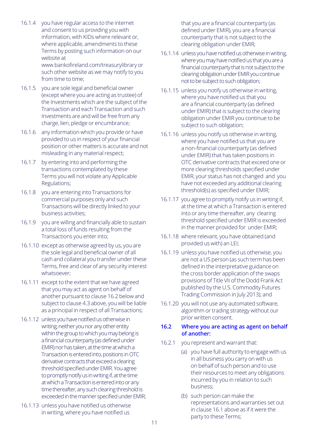- 16.1.4 you have regular access to the internet and consent to us providing you with information, with KIDs where relevant or, where applicable, amendments to these Terms by posting such information on our website at www.bankofireland.com/treasurylibrary or such other website as we may notify to you from time to time;
- 16.1.5 you are sole legal and beneficial owner (except where you are acting as trustee) of the Investments which are the subject of the Transaction and each Transaction and such Investments are and will be free from any charge, lien, pledge or encumbrance;
- 16.1.6 any information which you provide or have provided to us in respect of your financial position or other matters is accurate and not misleading in any material respect;
- 16.1.7 by entering into and performing the transactions contemplated by these Terms you will not violate any Applicable Regulations;
- 16.1.8 you are entering into Transactions for commercial purposes only and such Transactions will be directly linked to your business activities;
- 16.1.9 you are willing and financially able to sustain a total loss of funds resulting from the Transactions you enter into;
- 16.1.10 except as otherwise agreed by us, you are the sole legal and beneficial owner of all cash and collateral you transfer under these Terms, free and clear of any security interest whatsoever;
- 16.1.11 except to the extent that we have agreed that you may act as agent on behalf of another pursuant to clause 16.2 below and subject to clause 4.3 above, you will be liable as a principal in respect of all Transactions;
- 16.1.12 unless you have notified us otherwise in writing, neither you nor any other entity within the group to which you may belong is a financial counterparty (as defined under EMIR) nor has taken, at the time at which a Transaction is entered into, positions in OTC derivative contracts that exceed a clearing threshold specified under EMIR. You agree to promptly notify us in writing if, at the time at which a Transaction is entered into or any time thereafter, any such clearing threshold is exceeded in the manner specified under EMIR;
- 16.1.13 unless you have notified us otherwise in writing, where you have notified us

that you are a financial counterparty (as defined under EMIR), you are a financial counterparty that is not subject to the clearing obligation under EMIR;

- 16.1.14 unless you have notified us otherwise in writing, where you may have notified us that you are a financial counterparty that is not subject to the clearing obligation under EMIR you continue not to be subject to such obligation;
- 16.1.15 unless you notify us otherwise in writing, where you have notified us that you are a financial counterparty (as defined under EMIR) that is subject to the clearing obligation under EMIR you continue to be subject to such obligation;
- 16.1.16 unless you notify us otherwise in writing, where you have notified us that you are a non-financial counterparty (as defined under EMIR) that has taken positions in OTC derivative contracts that exceed one or more clearing thresholds specified under EMIR, your status has not changed and you have not exceeded any additional clearing threshold(s) as specified under EMIR;
- 16.1.17 you agree to promptly notify us in writing if, at the time at which a Transaction is entered into or any time thereafter, any clearing threshold specified under EMIR is exceeded in the manner provided for under EMIR;
- 16.1.18 where relevant, you have obtained (and provided us with) an LEI;
- 16.1.19 unless you have notified us otherwise, you are not a US person (as such term has been defined in the interpretative guidance on the cross border application of the swaps provisions of Title VII of the Dodd Frank Act published by the U.S. Commodity Futures Trading Commission in July 2013); and
- 16.1.20 you will not use any automated software, algorithm or trading strategy without our prior written consent.

#### **16.2 Where you are acting as agent on behalf of another:**

- 16.2.1 you represent and warrant that:
	- (a) you have full authority to engage with us in all business you carry on with us on behalf of such person and to use their resources to meet any obligations incurred by you in relation to such business;
	- (b) such person can make the representations and warranties set out in clause 16.1 above as if it were the party to these Terms;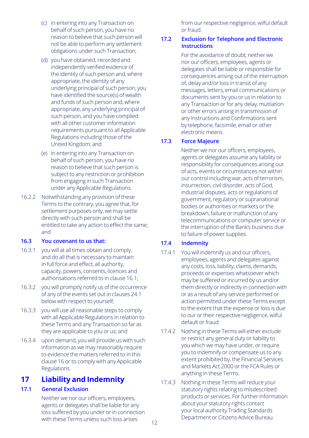- (c) in entering into any Transaction on behalf of such person, you have no reason to believe that such person will not be able to perform any settlement obligations under such Transaction;
- (d) you have obtained, recorded and independently verified evidence of the identity of such person and, where appropriate, the identity of any underlying principal of such person, you have identified the source(s) of wealth and funds of such person and, where appropriate, any underlying principal of such person, and you have complied with all other customer information requirements pursuant to all Applicable Regulations including those of the United Kingdom; and
- (e) in entering into any Transaction on behalf of such person, you have no reason to believe that such person is subject to any restriction or prohibition from engaging in such Transaction under any Applicable Regulations.
- 16.2.2 Notwithstanding any provision of these Terms to the contrary, you agree that, for settlement purposes only, we may settle directly with such person and shall be entitled to take any action to effect the same; and

#### **16.3 You covenant to us that:**

- 16.3.1 you will at all times obtain and comply, and do all that is necessary to maintain in full force and effect, all authority, capacity, powers, consents, licences and authorisations referred to in clause 16.1;
- 16.3.2 you will promptly notify us of the occurrence of any of the events set out in clauses 24.1 below with respect to yourself;
- 16.3.3 you will use all reasonable steps to comply with all Applicable Regulations in relation to these Terms and any Transaction so far as they are applicable to you or us; and
- 16.3.4 upon demand, you will provide us with such information as we may reasonably require to evidence the matters referred to in this clause 16 or to comply with any Applicable Regulations.

## **17 Liability and Indemnity**

#### **17.1 General Exclusion**

Neither we nor our officers, employees, agents or delegates shall be liable for any loss suffered by you under or in connection with these Terms unless such loss arises

from our respective negligence, wilful default or fraud.

#### **17.2 Exclusion for Telephone and Electronic Instructions**

For the avoidance of doubt, neither we nor our officers, employees, agents or delegates shall be liable or responsible for consequences arising out of the interruption of, delay and/or loss in transit of any messages, letters, email communications or documents sent by you or us in relation to any Transaction or for any delay, mutilation or other errors arising in transmission of any Instructions and Confirmations sent by telephone, facsimile, email or other electronic means.

#### **17.3 Force Majeure**

Neither we nor our officers, employees, agents or delegates assume any liability or responsibility for consequences arising out of acts, events or circumstances not within our control including war, acts of terrorism, insurrection, civil disorder, acts of God, industrial disputes, acts or regulations of government, regulatory or supranational bodies or authorities or markets or the breakdown, failure or malfunction of any telecommunications or computer service or the interruption of the Bank's business due to failure of power supplies.

#### **17.4 Indemnity**

- 17.4.1 You will indemnify us and our officers, employees, agents and delegates against any costs, loss, liability, claims, demands, proceeds or expenses whatsoever which may be suffered or incurred by us and/or them directly or indirectly in connection with or as a result of any service performed or action permitted under these Terms except to the extent that the expense or loss is due to our or their respective negligence, wilful default or fraud.
- 17.4.2 Nothing in these Terms will either exclude or restrict any general duty or liability to you which we may have under, or require you to indemnify or compensate us to any extent prohibited by, the Financial Services and Markets Act 2000 or the FCA Rules or anything in these Terms.
- 17.4.3 Nothing in these Terms will reduce your statutory rights relating to misdescribed products or services. For further information about your statutory rights contact your local authority Trading Standards Department or Citizens Advice Bureau.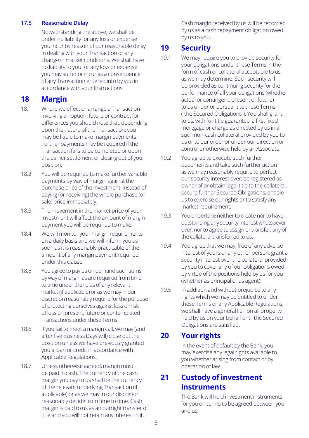#### **17.5 Reasonable Delay**

Notwithstanding the above, we shall be under no liability for any loss or expense you incur by reason of our reasonable delay in dealing with your Transaction or any change in market conditions. We shall have no liability to you for any loss or expense you may suffer or incur as a consequence of any Transaction entered into by you in accordance with your Instructions.

## **18 Margin**

- 18.1 Where we effect or arrange a Transaction involving an option, future or contract for differences you should note that, depending upon the nature of the Transaction, you may be liable to make margin payments. Further payments may be required if the Transaction fails to be completed or upon the earlier settlement or closing out of your position.
- 18.2 You will be required to make further variable payments by way of margin against the purchase price of the Investment, instead of paying (or receiving) the whole purchase (or sale) price immediately.
- 18.3 The movement in the market price of your Investment will affect the amount of margin payment you will be required to make.
- 18.4 We will monitor your margin requirements on a daily basis and we will inform you as soon as it is reasonably practicable of the amount of any margin payment required under this clause.
- 18.5 You agree to pay us on demand such sums by way of margin as are required from time to time under the rules of any relevant market (if applicable) or as we may in our discretion reasonably require for the purpose of protecting ourselves against loss or risk of loss on present, future or contemplated Transactions under these Terms.
- 18.6 If you fail to meet a margin call, we may (and after five Business Days will) close out the position unless we have previously granted you a loan or credit in accordance with Applicable Regulations.
- 18.7 Unless otherwise agreed, margin must be paid in cash. The currency of the cash margin you pay to us shall be the currency of the relevant underlying Transaction (if applicable) or as we may in our discretion reasonably decide from time to time. Cash margin is paid to us as an outright transfer of title and you will not retain any interest in it.

Cash margin received by us will be recorded by us as a cash repayment obligation owed by us to you.

## **19 Security**

- 19.1 We may require you to provide security for your obligations under these Terms in the form of cash or collateral acceptable to us as we may determine. Such security will be provided as continuing security for the performance of all your obligations (whether actual or contingent, present or future) to us under or pursuant to these Terms ("the Secured Obligations"). You shall grant to us, with full title guarantee, a first fixed mortgage or charge as directed by us in all such non-cash collateral provided by you to us or to our order or under our direction or control or otherwise held by an Associate.
- 19.2 You agree to execute such further documents and take such further action as we may reasonably require to perfect our security interest over, be registered as owner of or obtain legal title to the collateral, secure further Secured Obligations, enable us to exercise our rights or to satisfy any market requirement.
- 19.3 You undertake neither to create nor to have outstanding any security interest whatsoever over, nor to agree to assign or transfer, any of the collateral transferred to us.
- 19.4 You agree that we may, free of any adverse interest of yours or any other person, grant a security interest over the collateral provided by you to cover any of our obligations owed by virtue of the positions held by us for you (whether as principal or as agent).
- 19.5 In addition and without prejudice to any rights which we may be entitled to under these Terms or any Applicable Regulations, we shall have a general lien on all property held by us on your behalf until the Secured Obligations are satisfied.

## **20 Your rights**

In the event of default by the Bank, you may exercise any legal rights available to you whether arising from contact or by operation of law.

## **21 Custody of investment instruments**

The Bank will hold investment instruments for you on terms to be agreed between you and us.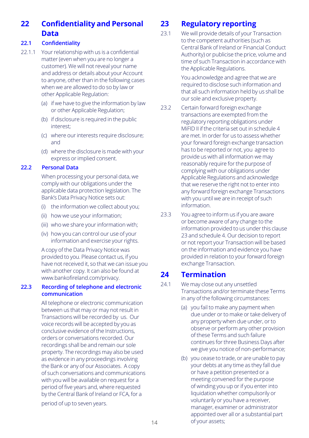# **22 Confidentiality and Personal Data**

## **22.1 Confidentiality**

- 22.1.1 Your relationship with us is a confidential matter (even when you are no longer a customer). We will not reveal your name and address or details about your Account to anyone, other than in the following cases when we are allowed to do so by law or other Applicable Regulation:
	- (a) if we have to give the information by law or other Applicable Regulation;
	- (b) if disclosure is required in the public interest;
	- (c) where our interests require disclosure; and
	- (d) where the disclosure is made with your express or implied consent.

#### **22.2 Personal Data**

When processing your personal data, we comply with our obligations under the applicable data protection legislation. The Bank's Data Privacy Notice sets out:

- (i) the information we collect about you;
- (ii) how we use your information;
- (iii) who we share your information with;
- (iv) how you can control our use of your information and exercise your rights.

A copy of the Data Privacy Notice was provided to you. Please contact us, if you have not received it, so that we can issue you with another copy. It can also be found at www.bankofireland.com/privacy.

#### **22.3 Recording of telephone and electronic communication**

All telephone or electronic communication between us that may or may not result in Transactions will be recorded by us. Our voice records will be accepted by you as conclusive evidence of the Instructions, orders or conversations recorded. Our recordings shall be and remain our sole property. The recordings may also be used as evidence in any proceedings involving the Bank or any of our Associates. A copy of such conversations and communications with you will be available on request for a period of five years and, where requested by the Central Bank of Ireland or FCA, for a

period of up to seven years.

# **23 Regulatory reporting**

23.1 We will provide details of your Transaction to the competent authorities (such as Central Bank of Ireland or Financial Conduct Authority) or publicise the price, volume and time of such Transaction in accordance with the Applicable Regulations.

> You acknowledge and agree that we are required to disclose such information and that all such information held by us shall be our sole and exclusive property.

- 23.2 Certain forward foreign exchange transactions are exempted from the regulatory reporting obligations under MiFID II if the criteria set out in schedule 4 are met. In order for us to assess whether your forward foreign exchange transaction has to be reported or not, you agree to provide us with all information we may reasonably require for the purpose of complying with our obligations under Applicable Regulations and acknowledge that we reserve the right not to enter into any forward foreign exchange Transactions with you until we are in receipt of such information.
- 23.3 You agree to inform us if you are aware or become aware of any change to the information provided to us under this clause 23 and schedule 4. Our decision to report or not report your Transaction will be based on the information and evidence you have provided in relation to your forward foreign exchange Transaction.

## **24 Termination**

- 24.1 We may close out any unsettled Transactions and/or terminate these Terms in any of the following circumstances:
	- (a) you fail to make any payment when due under or to make or take delivery of any property when due under, or to observe or perform any other provision of these Terms and such failure continues for three Business Days after we give you notice of non-performance;
	- (b) you cease to trade, or are unable to pay your debts at any time as they fall due or have a petition presented or a meeting convened for the purpose of winding you up or if you enter into liquidation whether compulsorily or voluntarily or you have a receiver, manager, examiner or administrator appointed over all or a substantial part of your assets;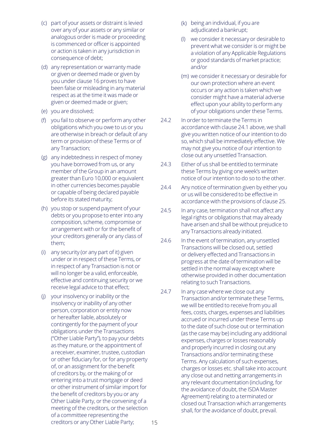- (c) part of your assets or distraint is levied over any of your assets or any similar or analogous order is made or proceeding is commenced or officer is appointed or action is taken in any jurisdiction in consequence of debt;
- (d) any representation or warranty made or given or deemed made or given by you under clause 16 proves to have been false or misleading in any material respect as at the time it was made or given or deemed made or given;
- (e) you are dissolved;
- (f) you fail to observe or perform any other obligations which you owe to us or you are otherwise in breach or default of any term or provision of these Terms or of any Transaction;
- (g) any indebtedness in respect of money you have borrowed from us, or any member of the Group in an amount greater than Euro 10,000 or equivalent in other currencies becomes payable or capable of being declared payable before its stated maturity;
- (h) you stop or suspend payment of your debts or you propose to enter into any composition, scheme, compromise or arrangement with or for the benefit of your creditors generally or any class of them;
- (i) any security (or any part of it) given under or in respect of these Terms, or in respect of any Transaction is not or will no longer be a valid, enforceable, effective and continuing security or we receive legal advice to that effect;
- (j) your insolvency or inability or the insolvency or inability of any other person, corporation or entity now or hereafter liable, absolutely or contingently for the payment of your obligations under the Transactions ("Other Liable Party"), to pay your debts as they mature, or the appointment of a receiver, examiner, trustee, custodian or other fiduciary for, or for any property of, or an assignment for the benefit of creditors by, or the making of or entering into a trust mortgage or deed or other instrument of similar import for the benefit of creditors by you or any Other Liable Party, or the convening of a meeting of the creditors, or the selection of a committee representing the creditors or any Other Liable Party;
- (k) being an individual, if you are adjudicated a bankrupt;
- (l) we consider it necessary or desirable to prevent what we consider is or might be a violation of any Applicable Regulations or good standards of market practice; and/or
- (m) we consider it necessary or desirable for our own protection where an event occurs or any action is taken which we consider might have a material adverse effect upon your ability to perform any of your obligations under these Terms.
- 24.2 In order to terminate the Terms in accordance with clause 24.1 above, we shall give you written notice of our intention to do so, which shall be immediately effective. We may not give you notice of our intention to close out any unsettled Transaction.
- 24.3 Either of us shall be entitled to terminate these Terms by giving one week's written notice of our intention to do so to the other.
- 24.4 Any notice of termination given by either you or us will be considered to be effective in accordance with the provisions of clause 25.
- 24.5 In any case, termination shall not affect any legal rights or obligations that may already have arisen and shall be without prejudice to any Transactions already initiated.
- 24.6 In the event of termination, any unsettled Transactions will be closed out, settled or delivery effected and Transactions in progress at the date of termination will be settled in the normal way except where otherwise provided in other documentation relating to such Transactions.
- 24.7 In any case where we close out any Transaction and/or terminate these Terms, we will be entitled to receive from you all fees, costs, charges, expenses and liabilities accrued or incurred under these Terms up to the date of such close out or termination (as the case may be) including any additional expenses, charges or losses reasonably and properly incurred in closing out any Transactions and/or terminating these Terms. Any calculation of such expenses, charges or losses etc. shall take into account any close out and netting arrangements in any relevant documentation (including, for the avoidance of doubt, the ISDA Master Agreement) relating to a terminated or closed out Transaction which arrangements shall, for the avoidance of doubt, prevail.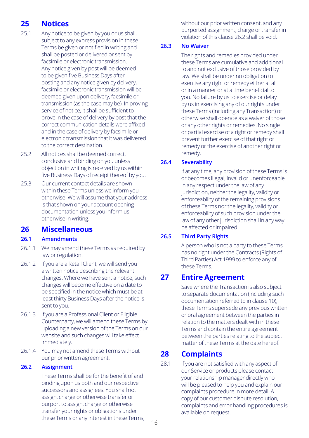# **25 Notices**

- 25.1 Any notice to be given by you or us shall, subject to any express provision in these Terms be given or notified in writing and shall be posted or delivered or sent by facsimile or electronic transmission. Any notice given by post will be deemed to be given five Business Days after posting and any notice given by delivery, facsimile or electronic transmission will be deemed given upon delivery, facsimile or transmission (as the case may be). In proving service of notice, it shall be sufficient to prove in the case of delivery by post that the correct communication details were affixed and in the case of delivery by facsimile or electronic transmission that it was delivered to the correct destination.
- 25.2 All notices shall be deemed correct. conclusive and binding on you unless objection in writing is received by us within five Business Days of receipt thereof by you.
- 25.3 Our current contact details are shown within these Terms unless we inform you otherwise. We will assume that your address is that shown on your account opening documentation unless you inform us otherwise in writing.

## **26 Miscellaneous**

#### **26.1 Amendments**

- 26.1.1 We may amend these Terms as required by law or regulation.
- 26.1.2 If you are a Retail Client, we will send you a written notice describing the relevant changes. Where we have sent a notice, such changes will become effective on a date to be specified in the notice which must be at least thirty Business Days after the notice is sent to you.
- 26.1.3 If you are a Professional Client or Eligible Counterparty, we will amend these Terms by uploading a new version of the Terms on our website and such changes will take effect immediately.
- 26.1.4 You may not amend these Terms without our prior written agreement.

#### **26.2 Assignment**

These Terms shall be for the benefit of and binding upon us both and our respective successors and assignees. You shall not assign, charge or otherwise transfer or purport to assign, charge or otherwise transfer your rights or obligations under these Terms or any interest in these Terms, without our prior written consent, and any purported assignment, charge or transfer in violation of this clause 26.2 shall be void.

#### **26.3 No Waiver**

The rights and remedies provided under these Terms are cumulative and additional to and not exclusive of those provided by law. We shall be under no obligation to exercise any right or remedy either at all or in a manner or at a time beneficial to you. No failure by us to exercise or delay by us in exercising any of our rights under these Terms (including any Transaction) or otherwise shall operate as a waiver of those or any other rights or remedies. No single or partial exercise of a right or remedy shall prevent further exercise of that right or remedy or the exercise of another right or remedy.

## **26.4 Severability**

If at any time, any provision of these Terms is or becomes illegal, invalid or unenforceable in any respect under the law of any jurisdiction, neither the legality, validity or enforceability of the remaining provisions of these Terms nor the legality, validity or enforceability of such provision under the law of any other jurisdiction shall in any way be affected or impaired.

## **26.5 Third Party Rights**

A person who is not a party to these Terms has no right under the Contracts (Rights of Third Parties) Act 1999 to enforce any of these Terms.

## **27 Entire Agreement**

Save where the Transaction is also subject to separate documentation (including such documentation referred to in clause 10), these Terms supersede any previous written or oral agreement between the parties in relation to the matters dealt with in these Terms and contain the entire agreement between the parties relating to the subject matter of these Terms at the date hereof.

## **28 Complaints**

28.1 If you are not satisfied with any aspect of our Service or products please contact your relationship manager directly who will be pleased to help you and explain our complaints procedure in more detail. A copy of our customer dispute resolution, complaints and error handling procedures is available on request.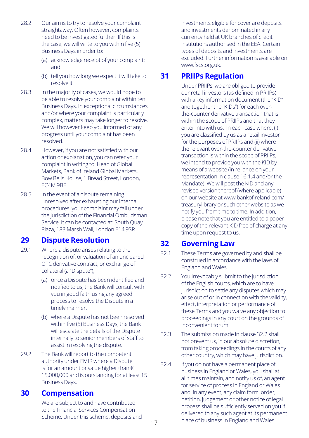- 28.2 Our aim is to try to resolve your complaint straightaway. Often however, complaints need to be investigated further. If this is the case, we will write to you within five (5) Business Days in order to:
	- (a) acknowledge receipt of your complaint; and
	- (b) tell you how long we expect it will take to resolve it.
- 28.3 In the majority of cases, we would hope to be able to resolve your complaint within ten Business Days. In exceptional circumstances and/or where your complaint is particularly complex, matters may take longer to resolve. We will however keep you informed of any progress until your complaint has been resolved.
- 28.4 However, if you are not satisfied with our action or explanation, you can refer your complaint in writing to: Head of Global Markets, Bank of Ireland Global Markets, Bow Bells House, 1 Bread Street, London, EC4M 9BE
- 28.5 In the event of a dispute remaining unresolved after exhausting our internal procedures, your complaint may fall under the jurisdiction of the Financial Ombudsman Service. It can be contacted at: South Quay Plaza, 183 Marsh Wall, London E14 9SR.

## **29 Dispute Resolution**

- 29.1 Where a dispute arises relating to the recognition of, or valuation of an uncleared OTC derivative contract, or exchange of collateral (a "Dispute");
	- (a) once a Dispute has been identified and notified to us, the Bank will consult with you in good faith using any agreed process to resolve the Dispute in a timely manner.
	- (b) where a Dispute has not been resolved within five (5) Business Days, the Bank will escalate the details of the Dispute internally to senior members of staff to assist in resolving the dispute.
- 29.2 The Bank will report to the competent authority under EMIR where a Dispute is for an amount or value higher than € 15,000,000 and is outstanding for at least 15 Business Days.

## **30 Compensation**

We are subject to and have contributed to the Financial Services Compensation Scheme. Under this scheme, deposits and investments eligible for cover are deposits and investments denominated in any currency held at UK branches of credit institutions authorised in the EEA. Certain types of deposits and investments are excluded. Further information is available on www.fscs.org.uk.

# **31 PRIIPs Regulation**

Under PRIIPs, we are obliged to provide our retail investors (as defined in PRIIPs) with a key information document (the "KID" and together the "KIDs") for each overthe-counter derivative transaction that is within the scope of PRIIPs and that they enter into with us. In each case where: (i) you are classified by us as a retail investor for the purposes of PRIIPs and (ii) where the relevant over-the-counter derivative transaction is within the scope of PRIIPs, we intend to provide you with the KID by means of a website (in reliance on your representation in clause 16.1.4 and/or the Mandate). We will post the KID and any revised version thereof (where applicable) on our website at www.bankofireland.com/ treasurylibrary or such other website as we notify you from time to time. In addition, please note that you are entitled to a paper copy of the relevant KID free of charge at any time upon request to us.

## **32 Governing Law**

- 32.1 These Terms are governed by and shall be construed in accordance with the laws of England and Wales.
- 32.2 You irrevocably submit to the jurisdiction of the English courts, which are to have jurisdiction to settle any disputes which may arise out of or in connection with the validity, effect, interpretation or performance of these Terms and you waive any objection to proceedings in any court on the grounds of inconvenient forum.
- 32.3 The submission made in clause 32.2 shall not prevent us, in our absolute discretion, from taking proceedings in the courts of any other country, which may have jurisdiction.
- 32.4 If you do not have a permanent place of business in England or Wales, you shall at all times maintain, and notify us of, an agent for service of process in England or Wales and, in any event, any claim form, order, petition, judgement or other notice of legal process shall be sufficiently served on you if delivered to any such agent at its permanent place of business in England and Wales.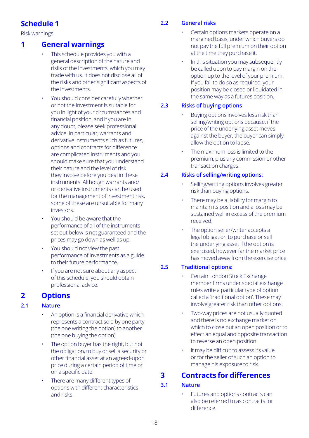# **Schedule 1**

#### Risk warnings

## **1 General warnings**

- This schedule provides you with a general description of the nature and risks of the Investments, which you may trade with us. It does not disclose all of the risks and other significant aspects of the Investments.
- You should consider carefully whether or not the Investment is suitable for you in light of your circumstances and financial position, and if you are in any doubt, please seek professional advice. In particular, warrants and derivative instruments such as futures, options and contracts for difference are complicated instruments and you should make sure that you understand their nature and the level of risk they involve before you deal in these instruments. Although warrants and/ or derivative instruments can be used for the management of investment risk, some of these are unsuitable for many investors.
- You should be aware that the performance of all of the instruments set out below is not guaranteed and the prices may go down as well as up.
- You should not view the past performance of Investments as a guide to their future performance.
- If you are not sure about any aspect of this schedule, you should obtain professional advice.

## **2 Options**

## **2.1 Nature**

- An option is a financial derivative which represents a contract sold by one party (the one writing the option) to another (the one buying the option).
- The option buyer has the right, but not the obligation, to buy or sell a security or other financial asset at an agreed-upon price during a certain period of time or on a specific date.
- There are many different types of options with different characteristics and risks.

## **2.2 General risks**

- Certain options markets operate on a margined basis, under which buyers do not pay the full premium on their option at the time they purchase it.
- In this situation you may subsequently be called upon to pay margin on the option up to the level of your premium. If you fail to do so as required, your position may be closed or liquidated in the same way as a futures position.

## **2.3 Risks of buying options**

- Buying options involves less risk than selling/writing options because, if the price of the underlying asset moves against the buyer, the buyer can simply allow the option to lapse.
- The maximum loss is limited to the premium, plus any commission or other transaction charges.

## **2.4 Risks of selling/writing options:**

- Selling/writing options involves greater risk than buying options.
- There may be a liability for margin to maintain its position and a loss may be sustained well in excess of the premium received.
- The option seller/writer accepts a legal obligation to purchase or sell the underlying asset if the option is exercised, however far the market price has moved away from the exercise price.

## **2.5 Traditional options:**

- Certain London Stock Exchange member firms under special exchange rules write a particular type of option called a 'traditional option'. These may involve greater risk than other options.
- Two-way prices are not usually quoted and there is no exchange market on which to close out an open position or to effect an equal and opposite transaction to reverse an open position.
- It may be difficult to assess its value or for the seller of such an option to manage his exposure to risk.

## **3 Contracts for differences**

## **3.1 Nature**

• Futures and options contracts can also be referred to as contracts for difference.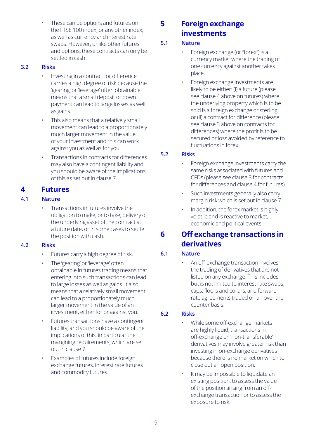These can be options and futures on the FTSE 100 index, or any other index, as well as currency and interest rate swaps. However, unlike other futures and options, these contracts can only be settled in cash.

#### **3.2 Risks**

- Investing in a contract for difference carries a high degree of risk because the 'gearing' or 'leverage' often obtainable means that a small deposit or down payment can lead to large losses as well as gains.
- This also means that a relatively small movement can lead to a proportionately much larger movement in the value of your Investment and this can work against you as well as for you.
- Transactions in contracts for differences may also have a contingent liability and you should be aware of the implications of this as set out in clause 7.

## **4 Futures**

## **4.1 Nature**

• Transactions in futures involve the obligation to make, or to take, delivery of the underlying asset of the contract at a future date, or in some cases to settle the position with cash.

#### **4.2 Risks**

- Futures carry a high degree of risk.
- The 'gearing' or 'leverage' often obtainable in futures trading means that entering into such transactions can lead to large losses as well as gains. It also means that a relatively small movement can lead to a proportionately much larger movement in the value of an investment, either for or against you.
- Futures transactions have a contingent liability, and you should be aware of the implications of this, in particular the margining requirements, which are set out in clause 7.
- Examples of futures include foreign exchange futures, interest rate futures and commodity futures.

# **5 Foreign exchange investments**

## **5.1 Nature**

- Foreign exchange (or "forex") is a currency market where the trading of one currency against another takes place.
- Foreign exchange Investments are likely to be either: (i) a future (please see clause 4 above on futures) where the underlying property which is to be sold is a foreign exchange or sterling or (ii) a contract for difference (please see clause 3 above on contracts for differences) where the profit is to be secured or loss avoided by reference to fluctuations in forex.

## **5.2 Risks**

- Foreign exchange investments carry the same risks associated with futures and CFDs (please see clause 3 for contracts for differences and clause 4 for futures).
- Such investments generally also carry margin risk which is set out in clause 7.
- In addition, the forex market is highly volatile and is reactive to market, economic and political events.

## **6 Off exchange transactions in derivatives**

## **6.1 Nature**

• An off-exchange transaction involves the trading of derivatives that are not listed on any exchange. This includes, but is not limited to interest rate swaps, caps, floors and collars, and forward rate agreements traded on an over the counter basis.

#### **6.2 Risks**

- While some off-exchange markets are highly liquid, transactions in off-exchange or "non-transferable' derivatives may involve greater risk than investing in on-exchange derivatives because there is no market on which to close out an open position.
- It may be impossible to liquidate an existing position, to assess the value of the position arising from an offexchange transaction or to assess the exposure to risk.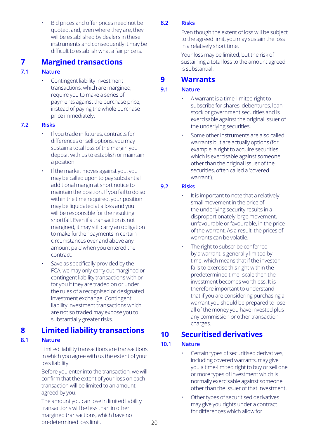• Bid prices and offer prices need not be quoted, and, even where they are, they will be established by dealers in these instruments and consequently it may be difficult to establish what a fair price is.

## **7 Margined transactions**

## **7.1 Nature**

• Contingent liability investment transactions, which are margined, require you to make a series of payments against the purchase price, instead of paying the whole purchase price immediately.

#### **7.2 Risks**

- If you trade in futures, contracts for differences or sell options, you may sustain a total loss of the margin you deposit with us to establish or maintain a position.
- If the market moves against you, you may be called upon to pay substantial additional margin at short notice to maintain the position. If you fail to do so within the time required, your position may be liquidated at a loss and you will be responsible for the resulting shortfall. Even if a transaction is not margined, it may still carry an obligation to make further payments in certain circumstances over and above any amount paid when you entered the contract.
- Save as specifically provided by the FCA, we may only carry out margined or contingent liability transactions with or for you if they are traded on or under the rules of a recognised or designated investment exchange. Contingent liability investment transactions which are not so traded may expose you to substantially greater risks.

## **8 Limited liability transactions**

## **8.1 Nature**

Limited liability transactions are transactions in which you agree with us the extent of your loss liability.

Before you enter into the transaction, we will confirm that the extent of your loss on each transaction will be limited to an amount agreed by you.

The amount you can lose in limited liability transactions will be less than in other margined transactions, which have no predetermined loss limit.

#### **8.2 Risks**

Even though the extent of loss will be subject to the agreed limit, you may sustain the loss in a relatively short time.

Your loss may be limited, but the risk of sustaining a total loss to the amount agreed is substantial.

## **9 Warrants**

## **9.1 Nature**

- A warrant is a time-limited right to subscribe for shares, debentures, loan stock or government securities and is exercisable against the original issuer of the underlying securities.
- Some other instruments are also called warrants but are actually options (for example, a right to acquire securities which is exercisable against someone other than the original issuer of the securities, often called a 'covered warrant').

## **9.2 Risks**

- It is important to note that a relatively small movement in the price of the underlying security results in a disproportionately large movement, unfavourable or favourable, in the price of the warrant. As a result, the prices of warrants can be volatile.
- The right to subscribe conferred by a warrant is generally limited by time, which means that if the investor fails to exercise this right within the predetermined time- scale then the investment becomes worthless. It is therefore important to understand that if you are considering purchasing a warrant you should be prepared to lose all of the money you have invested plus any commission or other transaction charges.

# **10 Securitised derivatives**

## **10.1 Nature**

- Certain types of securitised derivatives, including covered warrants, may give you a time-limited right to buy or sell one or more types of investment which is normally exercisable against someone other than the issuer of that investment.
- Other types of securitised derivatives may give you rights under a contract for differences which allow for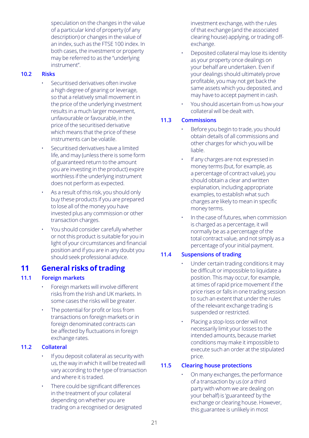speculation on the changes in the value of a particular kind of property (of any description) or changes in the value of an index, such as the FTSE 100 index. In both cases, the investment or property may be referred to as the "underlying instrument".

#### **10.2 Risks**

- Securitised derivatives often involve a high degree of gearing or leverage, so that a relatively small movement in the price of the underlying investment results in a much larger movement, unfavourable or favourable, in the price of the securitised derivative which means that the price of these instruments can be volatile.
- Securitised derivatives have a limited life, and may (unless there is some form of guaranteed return to the amount you are investing in the product) expire worthless if the underlying instrument does not perform as expected.
- As a result of this risk, you should only buy these products if you are prepared to lose all of the money you have invested plus any commission or other transaction charges.
- You should consider carefully whether or not this product is suitable for you in light of your circumstances and financial position and if you are in any doubt you should seek professional advice.

## **11 General risks of trading**

## **11.1 Foreign markets**

- Foreign markets will involve different risks from the Irish and UK markets. In some cases the risks will be greater.
- The potential for profit or loss from transactions on foreign markets or in foreign denominated contracts can be affected by fluctuations in foreign exchange rates.

## **11.2 Collateral**

- If you deposit collateral as security with us, the way in which it will be treated will vary according to the type of transaction and where it is traded.
- There could be significant differences in the treatment of your collateral depending on whether you are trading on a recognised or designated

investment exchange, with the rules of that exchange (and the associated clearing house) applying, or trading offexchange.

- Deposited collateral may lose its identity as your property once dealings on your behalf are undertaken. Even if your dealings should ultimately prove profitable, you may not get back the same assets which you deposited, and may have to accept payment in cash.
- You should ascertain from us how your collateral will be dealt with.

#### **11.3 Commissions**

- Before you begin to trade, you should obtain details of all commissions and other charges for which you will be liable.
- If any charges are not expressed in money terms (but, for example, as a percentage of contract value), you should obtain a clear and written explanation, including appropriate examples, to establish what such charges are likely to mean in specific money terms.
- In the case of futures, when commission is charged as a percentage, it will normally be as a percentage of the total contract value, and not simply as a percentage of your initial payment.

## **11.4 Suspensions of trading**

- Under certain trading conditions it may be difficult or impossible to liquidate a position. This may occur, for example, at times of rapid price movement if the price rises or falls in one trading session to such an extent that under the rules of the relevant exchange trading is suspended or restricted.
- Placing a stop-loss order will not necessarily limit your losses to the intended amounts, because market conditions may make it impossible to execute such an order at the stipulated price.

## **11.5 Clearing house protections**

• On many exchanges, the performance of a transaction by us (or a third party with whom we are dealing on your behalf) is 'guaranteed' by the exchange or clearing house. However, this guarantee is unlikely in most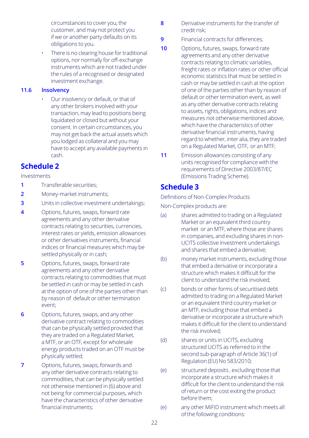circumstances to cover you, the customer, and may not protect you if we or another party defaults on its obligations to you.

There is no clearing house for traditional options, nor normally for off-exchange instruments which are not traded under the rules of a recognised or designated investment exchange.

#### **11.6 lnsolvency**

• Our insolvency or default, or that of any other brokers involved with your transaction, may lead to positions being liquidated or closed but without your consent. In certain circumstances, you may not get back the actual assets which you lodged as collateral and you may have to accept any available payments in cash.

## **Schedule 2**

#### Investments

- **1** Transferable securities;
- **2** Money-market instruments;
- **3** Units in collective investment undertakings;
- **4** Options, futures, swaps, forward rate agreements and any other derivative contracts relating to securities, currencies, interest rates or yields, emission allowances or other derivatives instruments, financial indices or financial measures which may be settled physically or in cash;
- **5** Options, futures, swaps, forward rate agreements and any other derivative contracts relating to commodities that must be settled in cash or may be settled in cash at the option of one of the parties other than by reason of default or other termination event;
- **6** Options, futures, swaps, and any other derivative contract relating to commodities that can be physically settled provided that they are traded on a Regulated Market, a MTF, or an OTF, except for wholesale energy products traded on an OTF must be physically settled;
- **7** Options, futures, swaps, forwards and any other derivative contracts relating to commodities, that can be physically settled not otherwise mentioned in (6) above and not being for commercial purposes, which have the characteristics of other derivative financial instruments;
- **8** Derivative instruments for the transfer of credit risk;
- **9** Financial contracts for differences;
- **10** Options, futures, swaps, forward rate agreements and any other derivative contracts relating to climatic variables, freight rates or inflation rates or other official economic statistics that must be settled in cash or may be settled in cash at the option of one of the parties other than by reason of default or other termination event, as well as any other derivative contracts relating to assets, rights, obligations, indices and measures not otherwise mentioned above, which have the characteristics of other derivative financial instruments, having regard to whether, inter alia, they are traded on a Regulated Market, OTF, or an MTF;
- **11** Emission allowances consisting of any units recognised for compliance with the requirements of Directive 2003/87/EC (Emissions Trading Scheme).

# **Schedule 3**

Definitions of Non-Complex Products

Non-Complex products are:

- (a) shares admitted to trading on a Regulated Market or an equivalent third country market or an MTF, where those are shares in companies, and excluding shares in non-UCITS collective investment undertakings and shares that embed a derivative;
- (b) money market instruments, excluding those that embed a derivative or incorporate a structure which makes it difficult for the client to understand the risk involved;
- (c) bonds or other forms of securitised debt admitted to trading on a Regulated Market or an equivalent third country market or an MTF, excluding those that embed a derivative or incorporate a structure which makes it difficult for the client to understand the risk involved;
- (d) shares or units in UCITS, excluding structured UCITS as referred to in the second sub-paragraph of Article 36(1) of Regulation (EU) No 583/2010;
- (e) structured deposits , excluding those that incorporate a structure which makes it difficult for the client to understand the risk of return or the cost exiting the product before them;
- (e) any other MiFID instrument which meets all of the following conditions: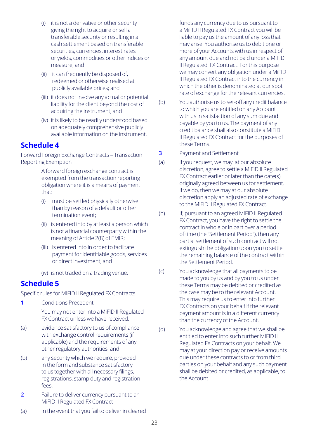- (i) it is not a derivative or other security giving the right to acquire or sell a transferable security or resulting in a cash settlement based on transferable securities, currencies, interest rates or yields, commodities or other indices or measure; and
- (ii) it can frequently be disposed of, redeemed or otherwise realised at publicly available prices; and
- (iii) it does not involve any actual or potential liability for the client beyond the cost of acquiring the instrument; and
- (iv) it is likely to be readily understood based on adequately comprehensive publicly available information on the instrument.

## **Schedule 4**

Forward Foreign Exchange Contracts – Transaction Reporting Exemption

> A forward foreign exchange contract is exempted from the transaction reporting obligation where it is a means of payment that:

- (i) must be settled physically otherwise than by reason of a default or other termination event;
- (ii) is entered into by at least a person which is not a financial counterparty within the meaning of Article 2(8) of EMIR;
- (iii) is entered into in order to facilitate payment for identifiable goods, services or direct investment; and
- (iv) is not traded on a trading venue.

## **Schedule 5**

Specific rules for MiFID II Regulated FX Contracts

**1** Conditions Precedent

You may not enter into a MiFID II Regulated FX Contract unless we have received:

- (a) evidence satisfactory to us of compliance with exchange control requirements (if applicable) and the requirements of any other regulatory authorities; and
- (b) any security which we require, provided in the form and substance satisfactory to us together with all necessary filings, registrations, stamp duty and registration fees.
- **2** Failure to deliver currency pursuant to an MiFID II Regulated FX Contract
- (a) In the event that you fail to deliver in cleared

funds any currency due to us pursuant to a MiFID II Regulated FX Contract you will be liable to pay us the amount of any loss that may arise. You authorise us to debit one or more of your Accounts with us in respect of any amount due and not paid under a MiFID II Regulated FX Contract. For this purpose we may convert any obligation under a MiFID II Regulated FX Contract into the currency in which the other is denominated at our spot rate of exchange for the relevant currencies.

- (b) You authorise us to set-off any credit balance to which you are entitled on any Account with us in satisfaction of any sum due and payable by you to us. The payment of any credit balance shall also constitute a MiFID II Regulated FX Contract for the purposes of these Terms.
- **3** Payment and Settlement
- (a) If you request, we may, at our absolute discretion, agree to settle a MiFID II Regulated FX Contract earlier or later than the date(s) originally agreed between us for settlement. If we do, then we may at our absolute discretion apply an adjusted rate of exchange to the MiFID II Regulated FX Contract.
- (b) If, pursuant to an agreed MiFID II Regulated FX Contract, you have the right to settle the contract in whole or in part over a period of time (the "Settlement Period"), then any partial settlement of such contract will not extinguish the obligation upon you to settle the remaining balance of the contract within the Settlement Period.
- (c) You acknowledge that all payments to be made to you by us and by you to us under these Terms may be debited or credited as the case may be to the relevant Account. This may require us to enter into further FX Contracts on your behalf if the relevant payment amount is in a different currency than the currency of the Account.
- (d) You acknowledge and agree that we shall be entitled to enter into such further MiFID II Regulated FX Contracts on your behalf. We may at your direction pay or receive amounts due under these contracts to or from third parties on your behalf and any such payment shall be debited or credited, as applicable, to the Account.